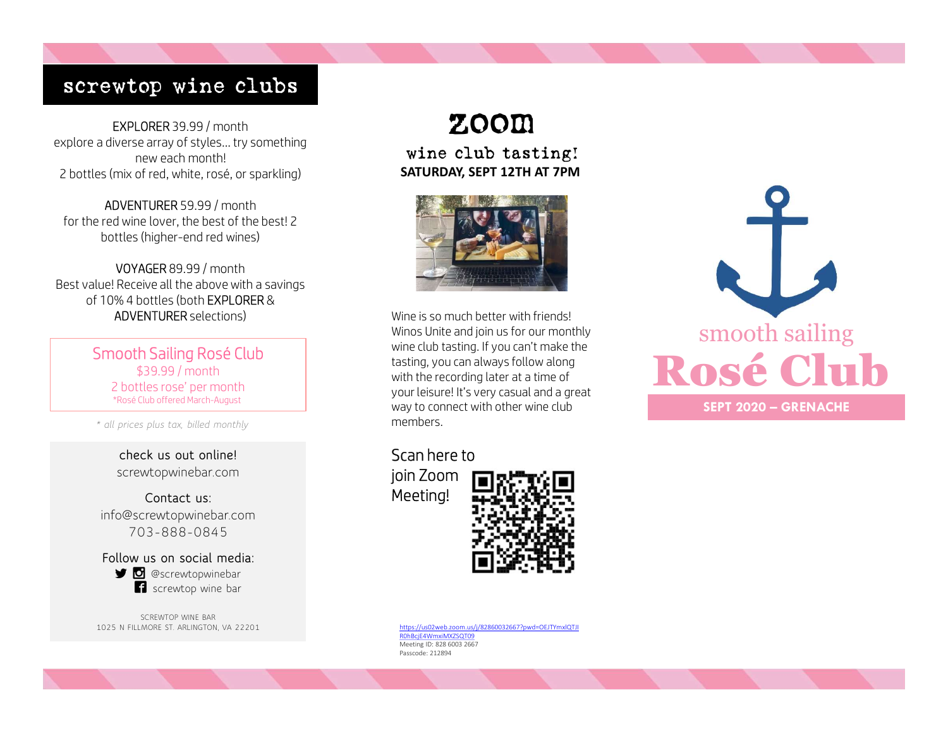# screwtop wine clubs

EXPLORER 39.99 / month explore a diverse array of styles… try something new each month! 2 bottles (mix of red, white, rosé, or sparkling)

ADVENTURER 59.99 / month for the red wine lover, the best of the best! 2 bottles (higher-end red wines)

VOYAGER 89.99 / month Best value! Receive all the above with a savings of 10% 4 bottles (both EXPLORER & ADVENTURER selections)

> Smooth Sailing Rosé Club \$39.99 / month 2 bottles rose' per month \*Rosé Club offered March-August

\* all prices plus tax, billed monthly

check us out online! screwtopwinebar.com

Contact us: info@screwtopwinebar.com 703-888-0845 Prices plus tax, billed monthly<br>
prices plus tax, billed monthly<br> **check us out online!**<br>
screwtopwinebar.com<br> **Contact us:**<br>
0@screwtopwinebar.com<br>
703-888-0845<br> **llow us on social media:**<br> **D** @screwtopwinebar<br> **C** & scr

Follow us on social media: **i** screwtop wine bar

SCREWTOP WINE BAR 1025 N FILLMORE ST. ARLINGTON, VA 22201

# zoom

wine club tasting! SATURDAY, SEPT 12TH AT 7PM



Wine is so much better with friends! Winos Unite and join us for our monthly wine club tasting. If you can't make the tasting, you can always follow along with the recording later at a time of your leisure! It's very casual and a great way to connect with other wine club members.

Scan here to join Zoom Meeting!



https://us02web.zoom.us/j/82860032667?pwd=OEJTYmxlQTJI R0hBcjE4WmxiMXZSQT09 Meeting ID: 828 6003 2667 Passcode: 212894